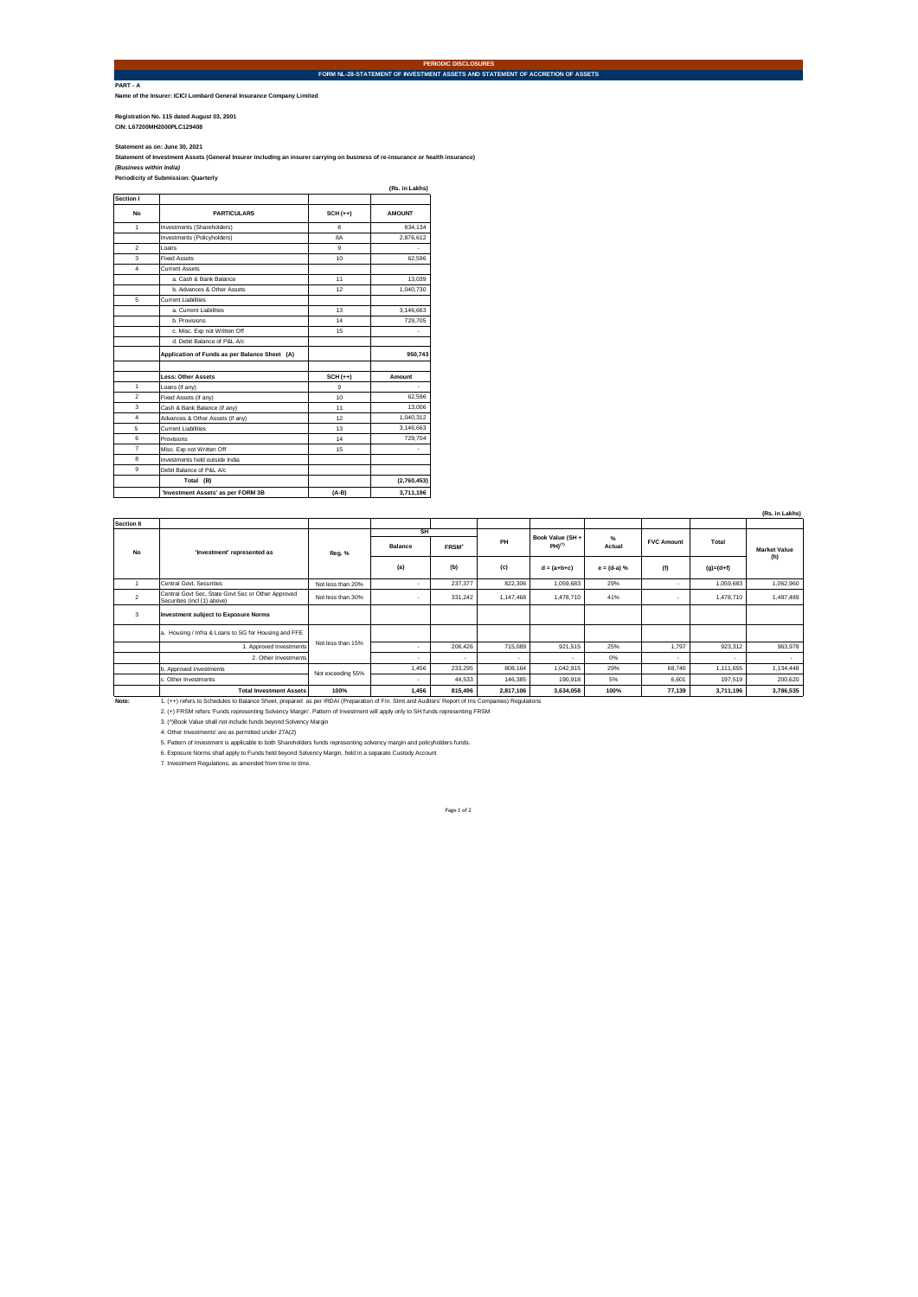**PART - A Name of the Insurer: ICICI Lombard General Insurance Company Limited**

**Registration No. 115 dated August 03, 2001 CIN: L67200MH2000PLC129408** 

Statement as on: June 30, 2021<br>Statement of Investment Assets (General Insurer including an insurer carrying on business of re-insurance or health insurance)<br>(Business within India)<br>Periodicity of Submission: Quarterly

|                          |                                               |                  | (Rs. in Lakhs) |
|--------------------------|-----------------------------------------------|------------------|----------------|
| Section I                |                                               |                  |                |
| <b>No</b>                | <b>PARTICULARS</b>                            | $SCH (++)$       | <b>AMOUNT</b>  |
| 1                        | Investments (Shareholders)                    | R                | 834.134        |
|                          | Investments (Policyholders)                   | <b>BA</b>        | 2,876,612      |
| $\overline{\phantom{a}}$ | I nans                                        | a                |                |
| 3                        | <b>Fixed Assets</b>                           | 10 <sub>10</sub> | 62.596         |
| 4                        | <b>Current Assets</b>                         |                  |                |
|                          | a. Cash & Bank Balance                        | 11               | 13.039         |
|                          | b. Advances & Other Assets                    | 12               | 1.040.730      |
| 5                        | Current Liabilities                           |                  |                |
|                          | a. Current Liabilities                        | 13               | 3,146,663      |
|                          | b. Provisions                                 | 14               | 729,705        |
|                          | c. Misc. Exp not Written Off                  | 15               |                |
|                          | d. Debit Balance of P&L A/c                   |                  |                |
|                          | Application of Funds as per Balance Sheet (A) |                  | 950,743        |
|                          | <b>Less: Other Assets</b>                     | $SCH (++)$       | Amount         |
| 1                        | Loans (if any)                                | 9                |                |
| $\overline{2}$           | Fixed Assets (if any)                         | 10               | 62.596         |
| 3                        | Cash & Bank Balance (if any)                  | 11               | 13,006         |
| $\overline{4}$           | Advances & Other Assets (if any)              | 12               | 1,040,312      |
| 5                        | Current Liabilities                           | 13               | 3,146,663      |
| 6                        | Provisions                                    | 14               | 729,704        |
| $\overline{7}$           | Misc. Exp not Written Off                     | 15               |                |
| 8                        | Investments held outside India                |                  |                |
| 9                        | Debit Balance of P&L A/c                      |                  |                |
|                          | Total (B)                                     |                  | (2,760,453)    |
|                          | 'Investment Assets' as per FORM 3B            | $(A-B)$          | 3,711,196      |

|                   |                                                                                                                                                  |                   |                |                   |           |                      |               |                   |             | (Rs. in Lakhs) |
|-------------------|--------------------------------------------------------------------------------------------------------------------------------------------------|-------------------|----------------|-------------------|-----------|----------------------|---------------|-------------------|-------------|----------------|
| <b>Section II</b> |                                                                                                                                                  |                   |                |                   |           |                      |               |                   |             |                |
| <b>No</b>         | 'Investment' represented as                                                                                                                      |                   | SH             |                   |           | Book Value (SH +     | %             |                   |             |                |
|                   |                                                                                                                                                  | Reg. %            | <b>Balance</b> | FRSM <sup>+</sup> | PH        | $PH)$ <sup>(*)</sup> | Actual        | <b>FVC Amount</b> | Total       | Market Value   |
|                   |                                                                                                                                                  |                   | (a)            | (b)               | (c)       | $d = (a+b+c)$        | $e = (d-a) %$ | (f)               | $(q)=(d+f)$ | (h)            |
| $\overline{1}$    | Central Govt. Securities                                                                                                                         | Not less than 20% | $\mathbf{r}$   | 237.377           | 822.306   | 1,059,683            | 29%           |                   | 1.059.683   | 1.062.960      |
| $\overline{2}$    | Central Govt Sec. State Govt Sec or Other Approved<br>Securities (incl (1) above)                                                                | Not less than 30% | ٠              | 331.242           | 1.147.468 | 1.478.710            | 41%           | ٠                 | 1,478,710   | 1.487.489      |
| 3                 | <b>Investment subject to Exposure Norms</b>                                                                                                      |                   |                |                   |           |                      |               |                   |             |                |
|                   | a. Housing / Infra & Loans to SG for Housing and FFE                                                                                             | Not less than 15% |                |                   |           |                      |               |                   |             |                |
|                   | 1. Approved Investments                                                                                                                          |                   | ٠              | 206.426           | 715.089   | 921.515              | 25%           | 1.797             | 923.312     | 963.978        |
|                   | 2. Other Investments                                                                                                                             |                   | ٠              |                   | ٠         |                      | 0%            | ٠                 |             |                |
|                   | b. Approved Investments                                                                                                                          | Not exceeding 55% | 1.456          | 233.295           | 808.164   | 1.042.915            | 29%           | 68,740            | 1.111.655   | 1.134.448      |
|                   | c. Other Investments                                                                                                                             |                   | $\mathbf{r}$   | 44.533            | 146,385   | 190,918              | 5%            | 6.601             | 197,519     | 200.620        |
|                   | <b>Total Investment Assets</b>                                                                                                                   | 100%              | 1.456          | 815,496           | 2.817.106 | 3.634.058            | 100%          | 77.139            | 3.711.196   | 3,786,535      |
| Note:             | 1. (++) refers to Schedules to Balance Sheet, prepared as per IRDAI (Preparation of Fin, Stmt and Auditors' Report of Ins Companies) Regulations |                   |                |                   |           |                      |               |                   |             |                |
|                   | 2. (+) FRSM refers 'Funds representing Solvency Margin'. Pattern of Investment will apply only to SH funds representing FRSM                     |                   |                |                   |           |                      |               |                   |             |                |
|                   | 3. (^)Book Value shall not include funds bevond Solvency Margin                                                                                  |                   |                |                   |           |                      |               |                   |             |                |
|                   | 4. Other Investments' are as permitted under 27A(2)                                                                                              |                   |                |                   |           |                      |               |                   |             |                |
|                   | 5. Pattern of Investment is applicable to both Shareholders funds representing solvency margin and policyholders funds.                          |                   |                |                   |           |                      |               |                   |             |                |
|                   | 6. Exposure Norms shall apply to Funds held beyond Solvency Margin, held in a separate Custody Account                                           |                   |                |                   |           |                      |               |                   |             |                |
|                   | 7. Investment Regulations, as amended from time to time.                                                                                         |                   |                |                   |           |                      |               |                   |             |                |

**PERIODIC DISCLOSURES FORM NL-28-STATEMENT OF INVESTMENT ASSETS AND STATEMENT OF ACCRETION OF ASSETS**

Page 1 of 2